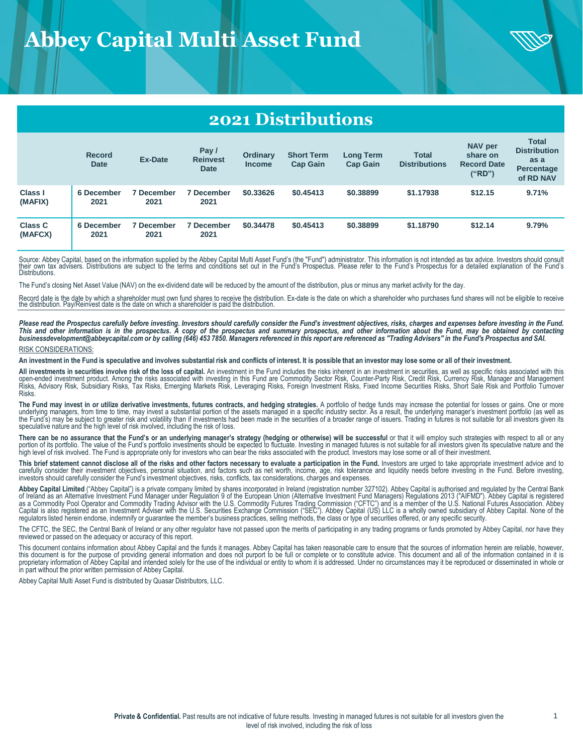# **Abbey Capital Multi Asset Fund**



## **2021 Distributions**

|                           | <b>Record</b><br><b>Date</b> | <b>Ex-Date</b>            | Pay /<br><b>Reinvest</b><br><b>Date</b> | <b>Ordinary</b><br>Income | <b>Short Term</b><br><b>Cap Gain</b> | <b>Long Term</b><br><b>Cap Gain</b> | <b>Total</b><br><b>Distributions</b> | <b>NAV per</b><br>share on<br><b>Record Date</b><br>("RD") | <b>Total</b><br><b>Distribution</b><br>as a<br>Percentage<br>of RD NAV |
|---------------------------|------------------------------|---------------------------|-----------------------------------------|---------------------------|--------------------------------------|-------------------------------------|--------------------------------------|------------------------------------------------------------|------------------------------------------------------------------------|
| Class I<br>(MAFIX)        | 6 December<br>2021           | <b>7 December</b><br>2021 | 7 December<br>2021                      | \$0.33626                 | \$0,45413                            | \$0.38899                           | \$1.17938                            | \$12.15                                                    | 9.71%                                                                  |
| <b>Class C</b><br>(MAFCX) | 6 December<br>2021           | <b>7 December</b><br>2021 | December<br>2021                        | \$0.34478                 | \$0.45413                            | \$0.38899                           | \$1.18790                            | \$12.14                                                    | 9.79%                                                                  |

Source: Abbey Capital, based on the information supplied by the Abbey Capital Multi Asset Fund's (the "Fund") administrator. This information is not intended as tax advice. Investors should consult<br>their own tax advisers. **Distributions** 

The Fund's closing Net Asset Value (NAV) on the ex-dividend date will be reduced by the amount of the distribution, plus or minus any market activity for the day.

Record date is the date by which a shareholder must own fund shares to receive the distribution. Ex-date is the date on which a shareholder who purchases fund shares will not be eligible to receive the distribution. Pay/Reinvest date is the date on which a shareholder is paid the distribution.

Please read the Prospectus carefully before investing. Investors should carefully consider the Fund's investment objectives, risks, charges and expenses before investing in the Fund.<br>This and other information is in

#### RISK CONSIDERATIONS:

An investment in the Fund is speculative and involves substantial risk and conflicts of interest. It is possible that an investor may lose some or all of their investment.

All investments in securities involve risk of the loss of capital. An investment in the Fund includes the risks inherent in an investment in securities, as well as specific risks associated with this open-ended investment product. Among the risks associated with investing in this Fund are Commodity Sector Risk, Counter-Party Risk, Credit Risk, Currency Risk, Manager and Management<br>Risks, Advisory Risk, Subsidiary Risks Risks.

The Fund may invest in or utilize derivative investments, futures contracts, and hedging strategies. A portfolio of hedge funds may increase the potential for losses or gains. One or more<br>underlying managers, from time to the Fund's) may be subject to greater risk and volatility than if investments had been made in the securities of a broader range of issuers. Trading in futures is not suitable for all investors given its speculative nature and the high level of risk involved, including the risk of loss.

There can be no assurance that the Fund's or an underlying manager's strategy (hedging or otherwise) will be successful or that it will employ such strategies with respect to all or any portion of its portfolio. The value of the Fund's portfolio investments should be expected to fluctuate. Investing in managed futures is not suitable for all investors given its speculative nature and the<br>high level of ris

This brief statement cannot disclose all of the risks and other factors necessary to evaluate a participation in the Fund. Investors are urged to take appropriate investment advice and to carefully consider their investment objectives, personal situation, and factors such as net worth, income, age, risk tolerance and liquidity needs before investing in the Fund. Before investing, investors should carefully consider the Fund's investment objectives, risks, conflicts, tax considerations, charges and expenses.

Abbey Capital Limited ("Abbey Capital") is a private company limited by shares incorporated in Ireland (registration number 327102). Abbey Capital is authorised and regulated by the Central Bank<br>of Ireland as an Alternativ

The CFTC, the SEC, the Central Bank of Ireland or any other regulator have not passed upon the merits of participating in any trading programs or funds promoted by Abbey Capital, nor have they reviewed or passed on the adequacy or accuracy of this report.

This document contains information about Abbey Capital and the funds it manages. Abbey Capital has taken reasonable care to ensure that the sources of information herein are reliable, however,<br>this document is for the purp in part without the prior written permission of Abbey Capital.

Abbey Capital Multi Asset Fund is distributed by Quasar Distributors, LLC.